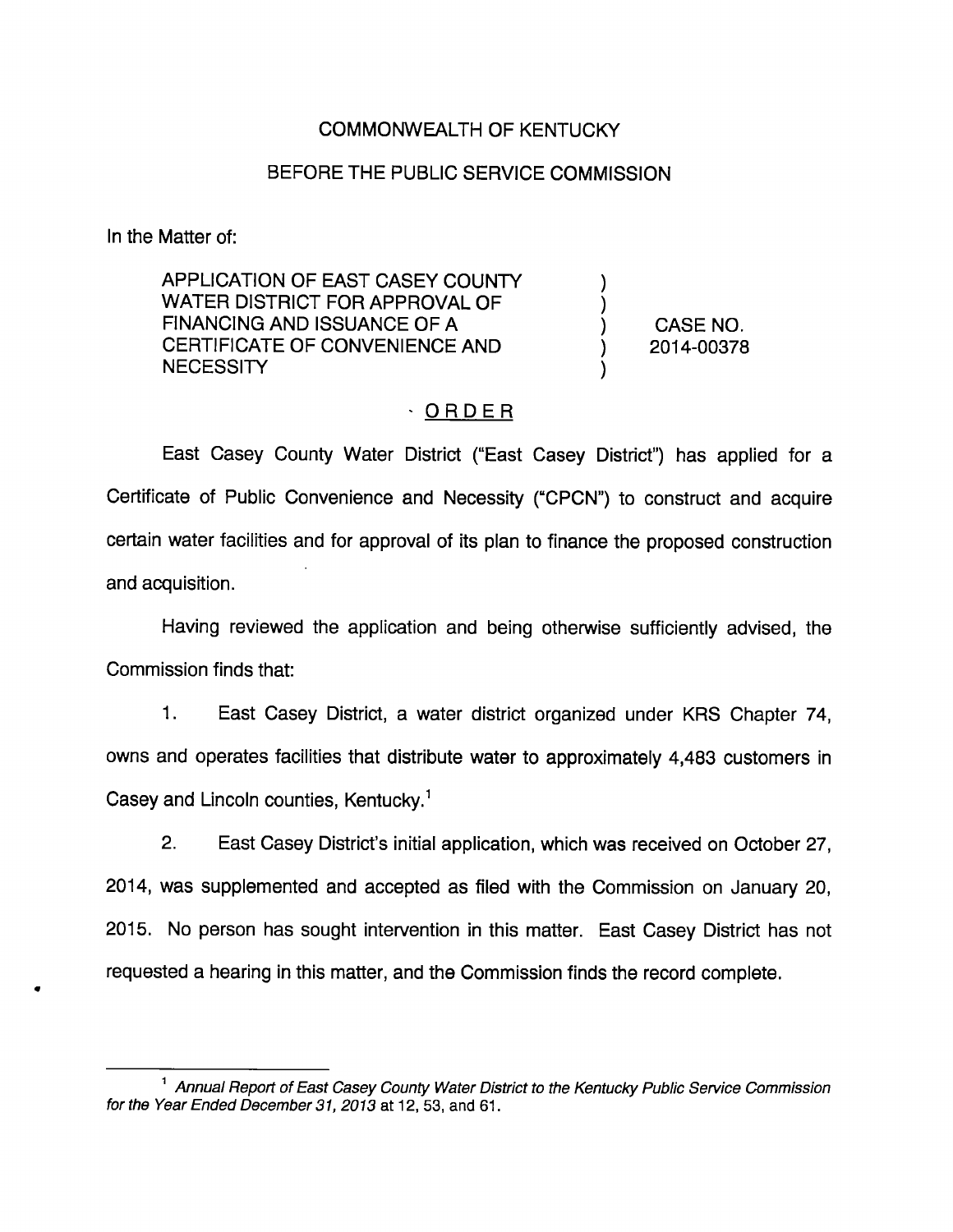## COMMONWEALTH OF KENTUCKY

## BEFORE THE PUBLIC SERVICE COMMISSION

In the Matter of:

APPLICATION OF EAST CASEY COUNTY WATER DISTRICT FOR APPROVAL OF FINANCING AND ISSUANCE OF A (CASE NO. CERTIFICATE OF CONVENIENCE AND (2014-00378) NECESSITY

## - ORDER

East Casey County Water District ("East Casey District") has applied for a Certificate of Public Convenience and Necessity ("CPCN") to construct and acquire certain water facilities and for approval of its plan to finance the proposed construction and acquisition.

Having reviewed the application and being otherwise sufficiently advised, the Commission finds that:

1. East Casey District, a water district organized under KRS Chapter 74, owns and operates facilities that distribute water to approximately 4,483 customers in Casey and Lincoln counties, Kentucky.<sup>1</sup>

2. East Casey District's initial application, which was received on October 27, 2014, was supplemented and accepted as filed with the Commission on January 20, 2015. No person has sought intervention in this matter. East Casey District has not requested a hearing in this matter, and the Commission finds the record complete.

<sup>&</sup>lt;sup>1</sup> Annual Report of East Casey County Water District to the Kentucky Public Service Commission for the Year Ended December 31, 2013 at 12, 53, and 61.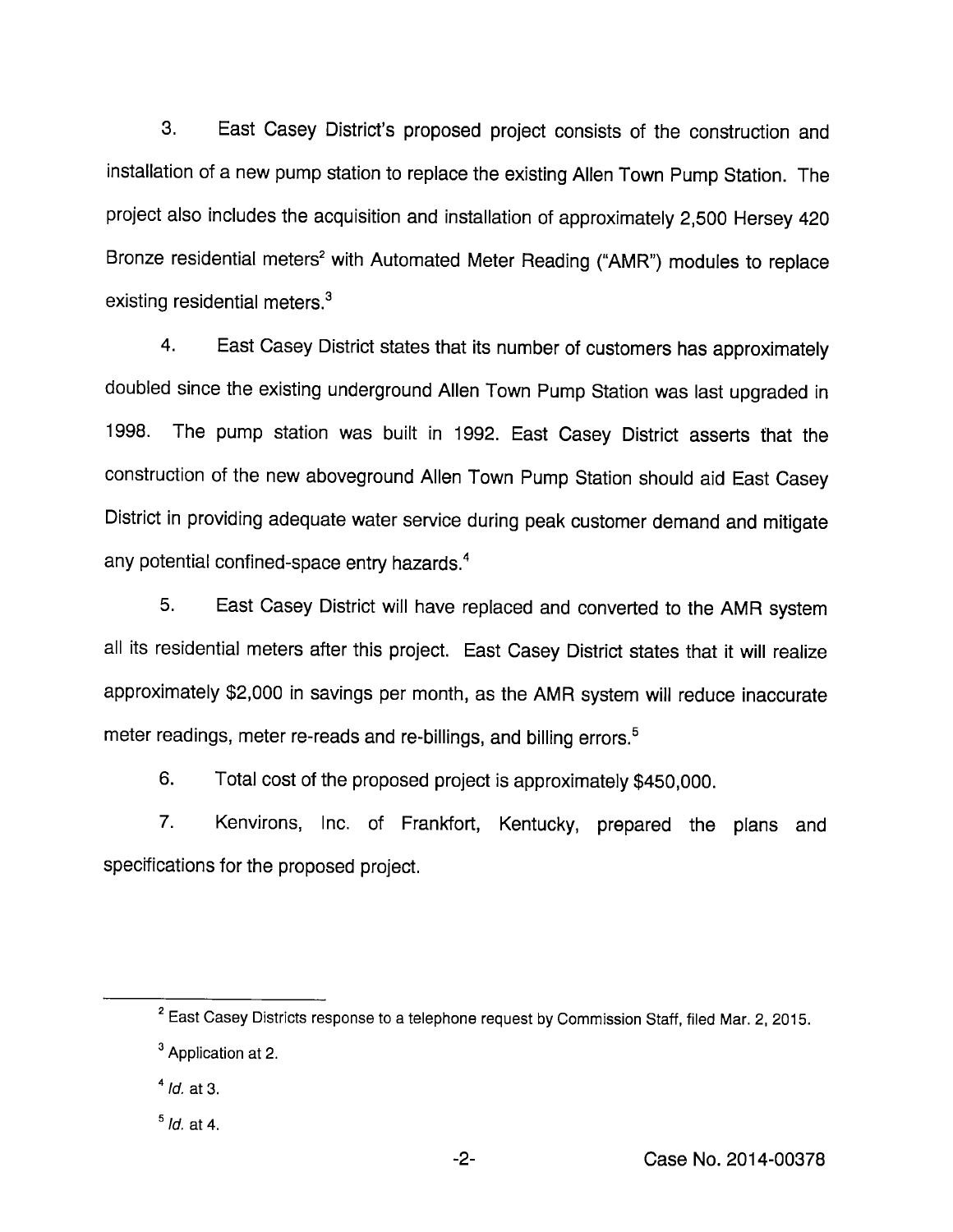3. East Casey District's proposed project consists of the construction and installation of a new pump station to replace the existing Allen Town Pump Station. The project also includes the acquisition and installation of approximately 2,500 Hersey 420 Bronze residential meters<sup>2</sup> with Automated Meter Reading ("AMR") modules to replace existing residential meters. $3$ 

4. East Casey District states that its number of customers has approximately doubled since the existing underground Allen Town Pump Station was last upgraded in 1998. The pump station was built in 1992. East Casey District asserts that the construction of the new aboveground Allen Town Pump Station should aid East Casey District in providing adequate water service during peak customer demand and mitigate any potential confined-space entry hazards.<sup>4</sup>

5. East Casey District will have replaced and converted to the AMR system all its residential meters after this project. East Casey District states that it will realize approximately \$2,000 in savings per month, as the AMR system will reduce inaccurate meter readings, meter re-reads and re-billings, and billing errors.<sup>5</sup>

6. Total cost of the proposed project is approximately \$450,000.

7. Kenvirons, Inc. of Frankfort, Kentucky, prepared the plans and specifications for the proposed project.

 $2$  East Casey Districts response to a telephone request by Commission Staff, filed Mar. 2, 2015.  $<sup>3</sup>$  Application at 2.</sup>

 $<sup>4</sup>$  *Id.* at 3.</sup>

 $<sup>5</sup>$  *ld.* at 4.</sup>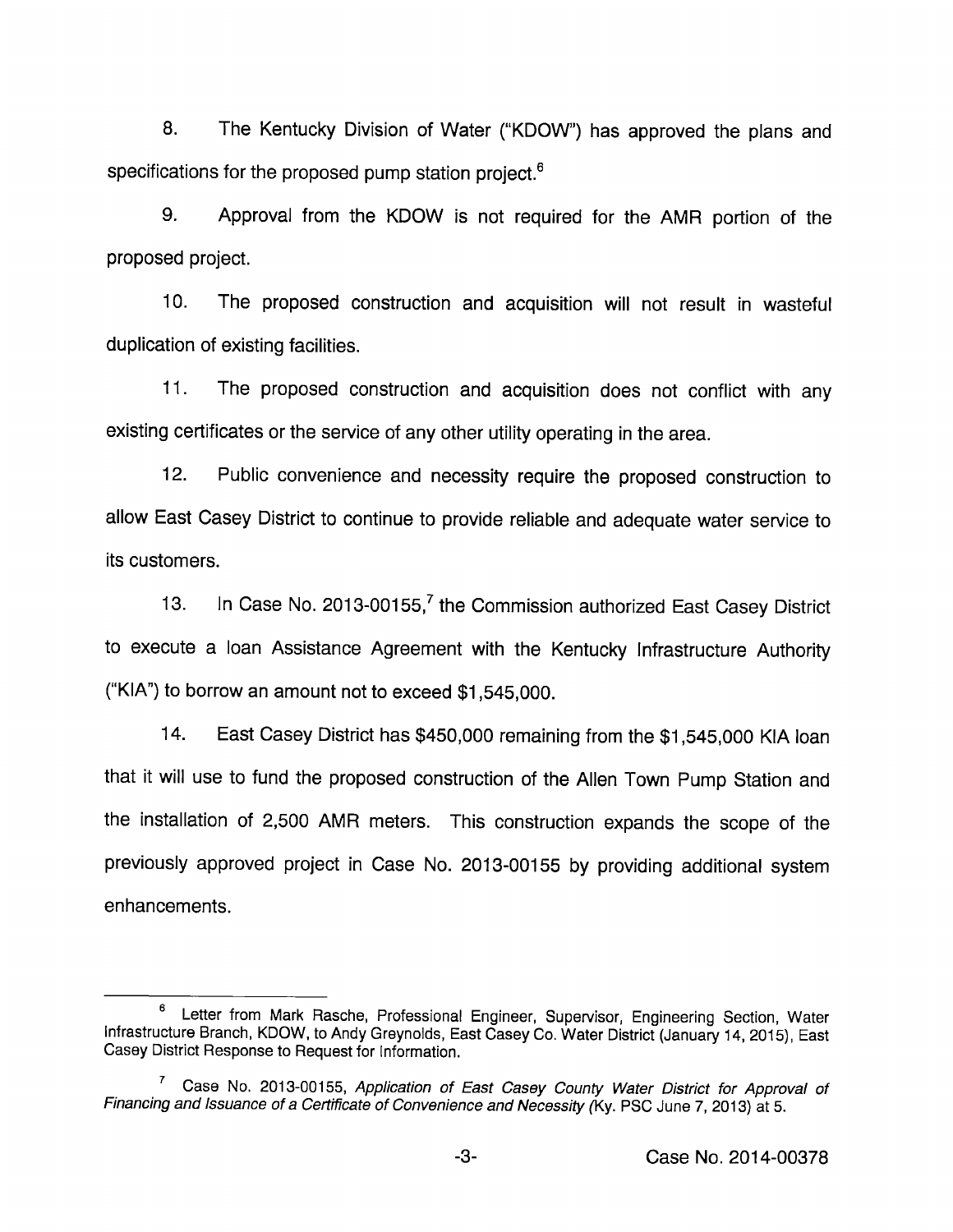8. The Kentucky Division of Water ("KDOW") has approved the plans and specifications for the proposed pump station project.<sup>6</sup>

9. Approval from the KDOW is not required for the AMR portion of the proposed project.

10. The proposed construction and acquisition will not result in wasteful duplication of existing facilities.

11. The proposed construction and acquisition does not conflict with any existing certificates or the service of any other utility operating in the area.

12. Public convenience and necessity require the proposed construction to allow East Casey District to continue to provide reliable and adequate water service to its customers.

13. In Case No. 2013-00155, $^7$  the Commission authorized East Casey District to execute a loan Assistance Agreement with the Kentucky Infrastructure Authority ("KIA") to borrow an amount not to exceed \$1,545,000.

14. East Casey District has \$450,000 remaining from the \$1,545,000 KIA loan that it will use to fund the proposed construction of the Allen Town Pump Station and the installation of 2,500 AMR meters. This construction expands the scope of the previously approved project in Case No. 2013-00155 by providing additional system enhancements.

<sup>6</sup> Letter from Mark Rasche, Professional Engineer, Supervisor, Engineering Section, Water Infrastructure Branch, KDOW, to Andy Greynolds, East CaseyCo. Water District (January 14,2015), East Casey District Response to Request for information.

 $^7$  Case No. 2013-00155, Application of East Casey County Water District for Approval of Financing and Issuance of a Certificate of Convenience and Necessity (Ky. PSC June 7, 2013) at 5.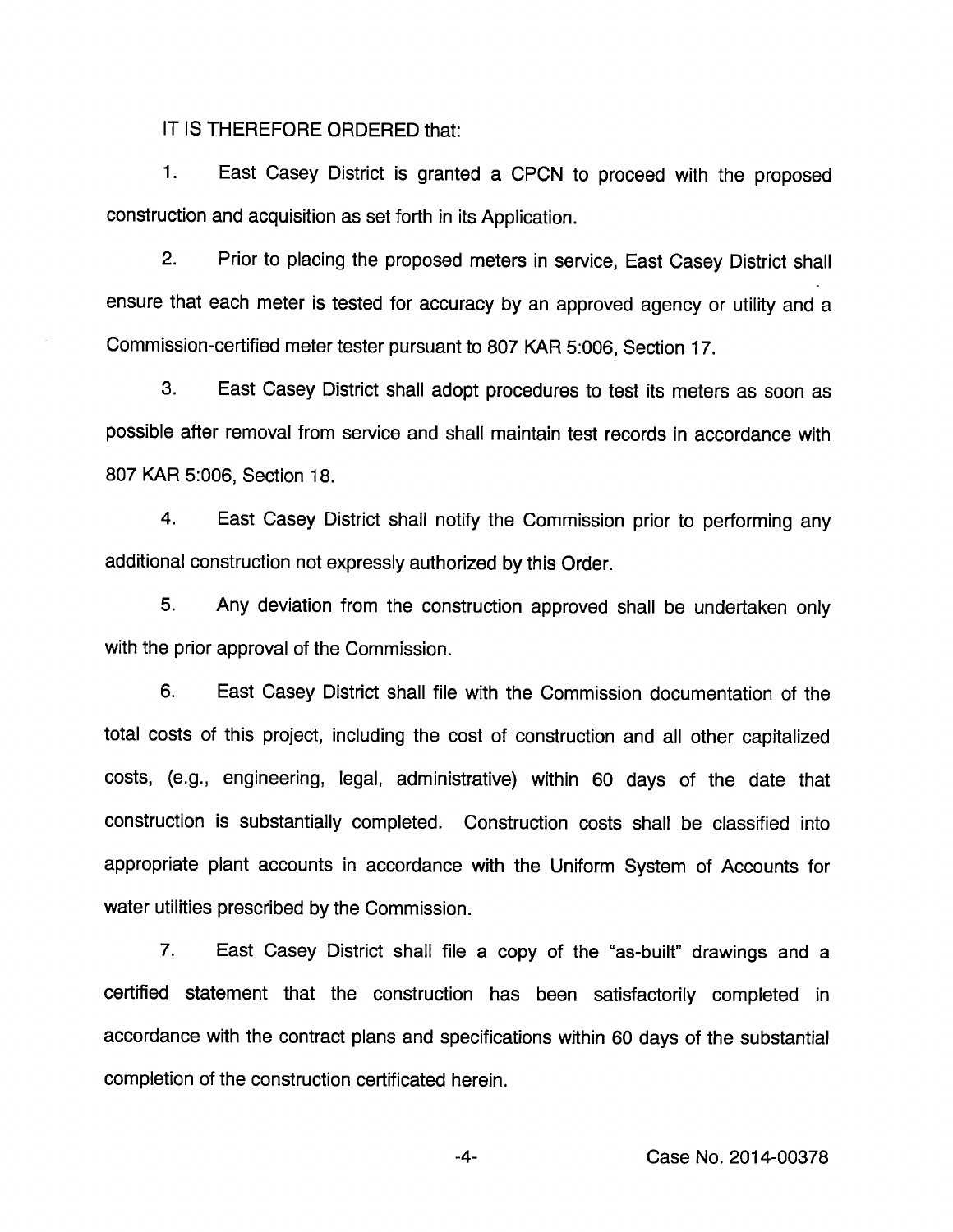IT IS THEREFORE ORDERED that:

1. East Casey District is granted a CPCN to proceed with the proposed construction and acquisition as set forth in its Application.

2. Prior to placing the proposed meters in service, East Casey District shall ensure that each meter is tested for accuracy by an approved agency or utility and a Commission-certified meter tester pursuant to 807 KAR 5:006, Section 17.

3. East Casey District shall adopt procedures to test its meters as soon as possible after removal from service and shall maintain test records in accordance with 807 KAR 5:006, Section 18.

4. East Casey District shall notify the Commission prior to performing any additional construction not expressly authorized by this Order.

5. Any deviation from the construction approved shall be undertaken only with the prior approval of the Commission.

6. East Casey District shall file with the Commission documentation of the total costs of this project, including the cost of construction and all other capitalized costs, (e.g., engineering, legal, administrative) within 60 days of the date that construction is substantially completed. Construction costs shall be classified into appropriate plant accounts in accordance with the Uniform System of Accounts for water utilities prescribed by the Commission.

7. East Casey District shall file a copy of the "as-built" drawings and a certified statement that the construction has been satisfactorily completed in accordance with the contract plans and specifications within 60 days of the substantial completion of the construction certificated herein.

-4- Case No. 2014-00378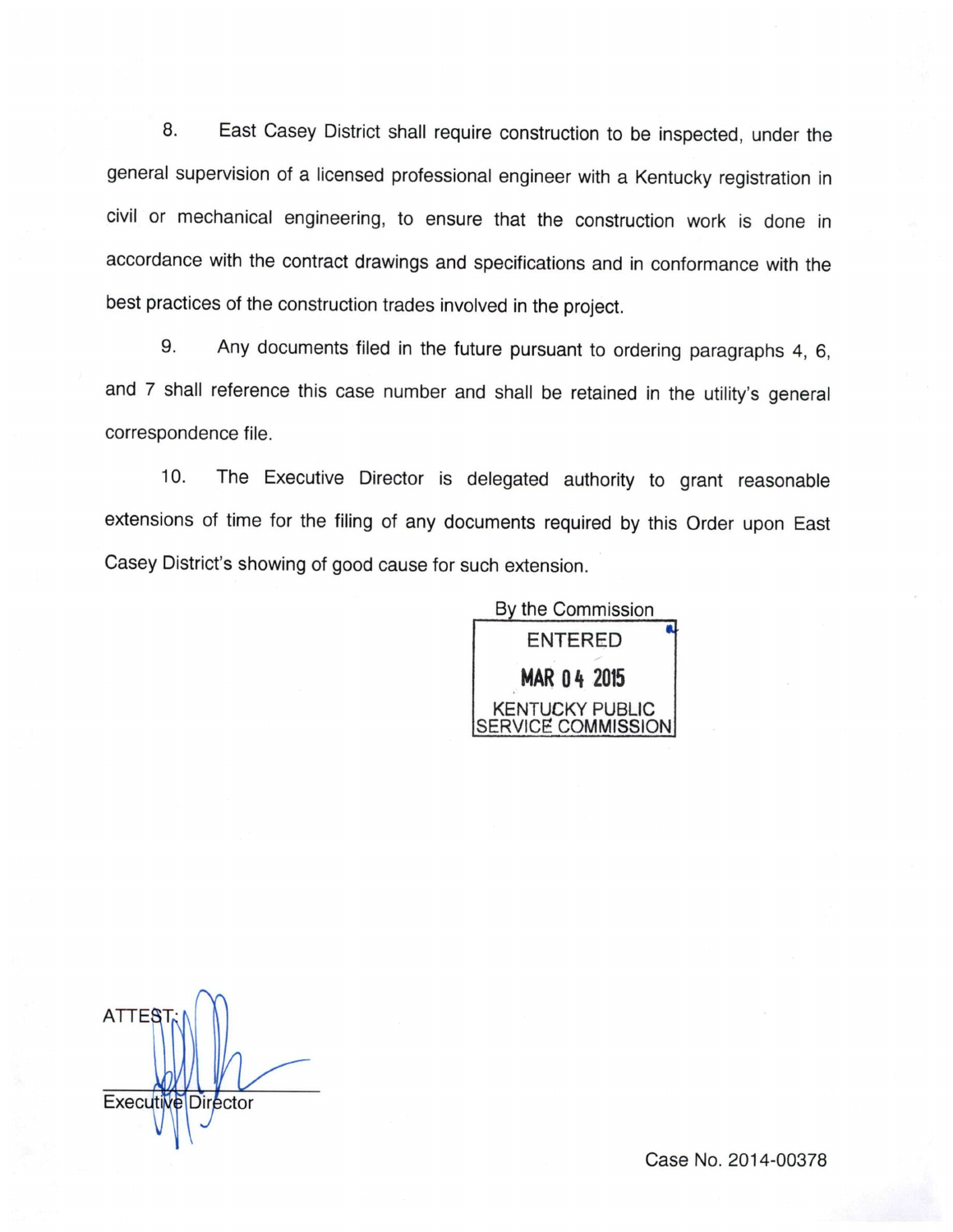8. East Casey District shall require construction to be inspected, under the general supervision of a licensed professional engineer with a Kentucky registration in civil or mechanical engineering, to ensure that the construction work is done in accordance with the contract drawings and specifications and in conformance with the best practices of the construction trades involved in the project.

9. Any documents filed in the future pursuant to ordering paragraphs 4, 6, and 7 shall reference this case number and shall be retained in the utility's general correspondence file.

10. The Executive Director is delegated authority to grant reasonable extensions of time for the filing of any documents required by this Order upon East Casey District's showing of good cause for such extension.



ATTES Executive Director

Case No. 2014-00378